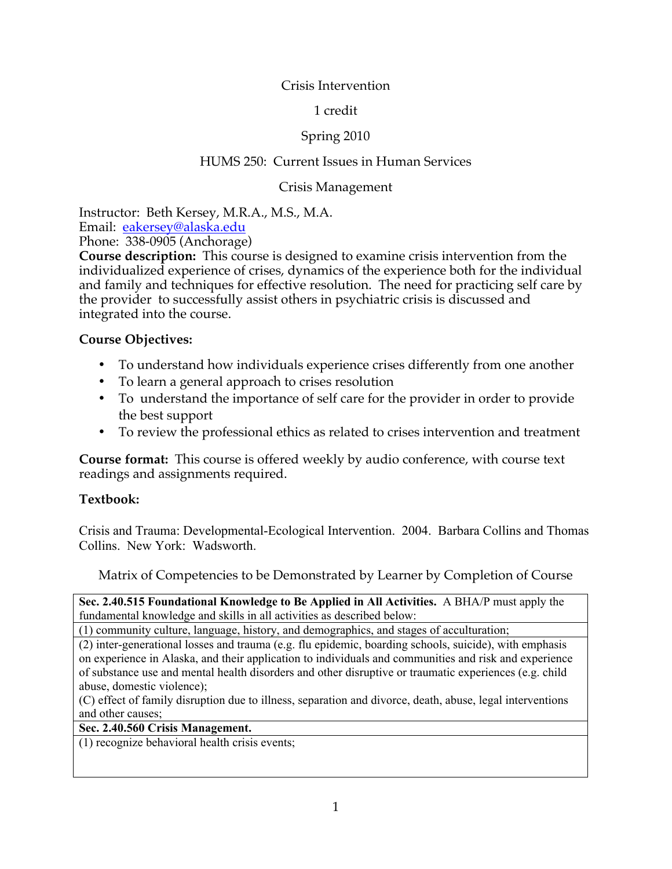# Crisis Intervention

# 1 credit

# Spring 2010

# HUMS 250: Current Issues in Human Services

### Crisis Management

Instructor: Beth Kersey, M.R.A., M.S., M.A.

Email: eakersey@alaska.edu

Phone: 338-0905 (Anchorage)

**Course description:** This course is designed to examine crisis intervention from the individualized experience of crises, dynamics of the experience both for the individual and family and techniques for effective resolution. The need for practicing self care by the provider to successfully assist others in psychiatric crisis is discussed and integrated into the course.

#### **Course Objectives:**

- To understand how individuals experience crises differently from one another
- To learn a general approach to crises resolution
- To understand the importance of self care for the provider in order to provide the best support
- To review the professional ethics as related to crises intervention and treatment

**Course format:** This course is offered weekly by audio conference, with course text readings and assignments required.

#### **Textbook:**

Crisis and Trauma: Developmental-Ecological Intervention. 2004. Barbara Collins and Thomas Collins. New York: Wadsworth.

Matrix of Competencies to be Demonstrated by Learner by Completion of Course

**Sec. 2.40.515 Foundational Knowledge to Be Applied in All Activities.** A BHA/P must apply the fundamental knowledge and skills in all activities as described below:

(1) community culture, language, history, and demographics, and stages of acculturation;

(2) inter-generational losses and trauma (e.g. flu epidemic, boarding schools, suicide), with emphasis on experience in Alaska, and their application to individuals and communities and risk and experience of substance use and mental health disorders and other disruptive or traumatic experiences (e.g. child abuse, domestic violence);

(C) effect of family disruption due to illness, separation and divorce, death, abuse, legal interventions and other causes;

#### **Sec. 2.40.560 Crisis Management.**

(1) recognize behavioral health crisis events;